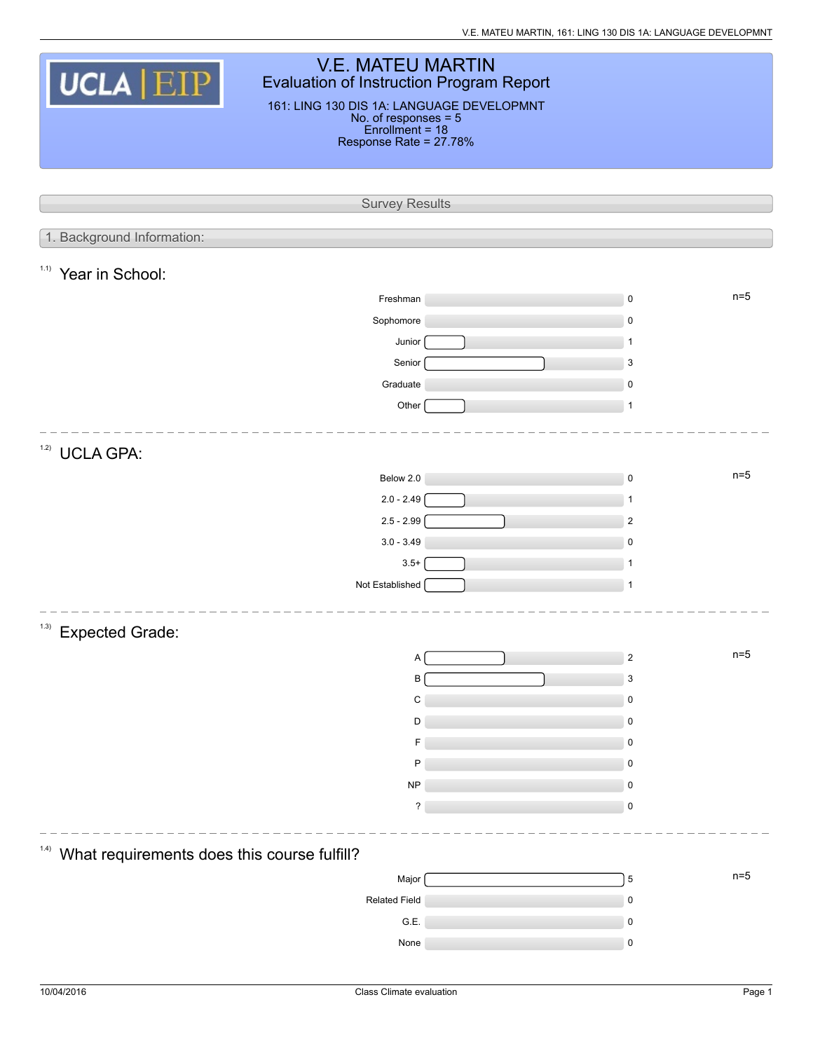V.E. MATEU MARTIN, 161: LING 130 DIS 1A: LANGUAGE DEVELOPMNT

| UCLA EIP                                             | <b>V.E. MATEU MARTIN</b><br><b>Evaluation of Instruction Program Report</b><br>161: LING 130 DIS 1A: LANGUAGE DEVELOPMNT |                  |       |
|------------------------------------------------------|--------------------------------------------------------------------------------------------------------------------------|------------------|-------|
|                                                      | No. of responses = 5<br>Enrollment = 18                                                                                  |                  |       |
|                                                      | Response Rate = 27.78%                                                                                                   |                  |       |
|                                                      |                                                                                                                          |                  |       |
|                                                      |                                                                                                                          |                  |       |
|                                                      | <b>Survey Results</b>                                                                                                    |                  |       |
| 1. Background Information:                           |                                                                                                                          |                  |       |
| 1.1)<br>Year in School:                              |                                                                                                                          |                  |       |
|                                                      | Freshman                                                                                                                 | $\mathsf 0$      | $n=5$ |
|                                                      | Sophomore                                                                                                                | 0                |       |
|                                                      | Junior                                                                                                                   | $\mathbf{1}$     |       |
|                                                      | Senior                                                                                                                   | 3                |       |
|                                                      | Graduate                                                                                                                 | $\mathsf 0$      |       |
|                                                      | Other                                                                                                                    | $\mathbf{1}$     |       |
| 1.2)<br><b>UCLA GPA:</b>                             |                                                                                                                          |                  |       |
|                                                      | Below 2.0                                                                                                                | $\mathsf 0$      | $n=5$ |
|                                                      | $2.0 - 2.49$                                                                                                             | $\mathbf{1}$     |       |
|                                                      | $2.5 - 2.99$                                                                                                             | $\boldsymbol{2}$ |       |
|                                                      | $3.0 - 3.49$                                                                                                             | $\mathsf 0$      |       |
|                                                      | $3.5+$                                                                                                                   | 1                |       |
|                                                      | Not Established                                                                                                          | $\mathbf 1$      |       |
| (1.3)<br><b>Expected Grade:</b>                      |                                                                                                                          |                  |       |
|                                                      | А                                                                                                                        | $\overline{2}$   | $n=5$ |
|                                                      | B                                                                                                                        | 3                |       |
|                                                      | C                                                                                                                        | $\mathsf 0$      |       |
|                                                      | D                                                                                                                        | $\mathsf 0$      |       |
|                                                      |                                                                                                                          | 0                |       |
|                                                      | P                                                                                                                        | $\mathsf 0$      |       |
|                                                      | <b>NP</b>                                                                                                                | 0                |       |
|                                                      | ?                                                                                                                        | $\mathsf 0$      |       |
| (1.4)<br>What requirements does this course fulfill? |                                                                                                                          |                  |       |
|                                                      | Major                                                                                                                    | $\,$ 5           | $n=5$ |
|                                                      | <b>Related Field</b>                                                                                                     | $\mathsf 0$      |       |
|                                                      | G.E.                                                                                                                     | 0                |       |
|                                                      | None                                                                                                                     | $\pmb{0}$        |       |
|                                                      |                                                                                                                          |                  |       |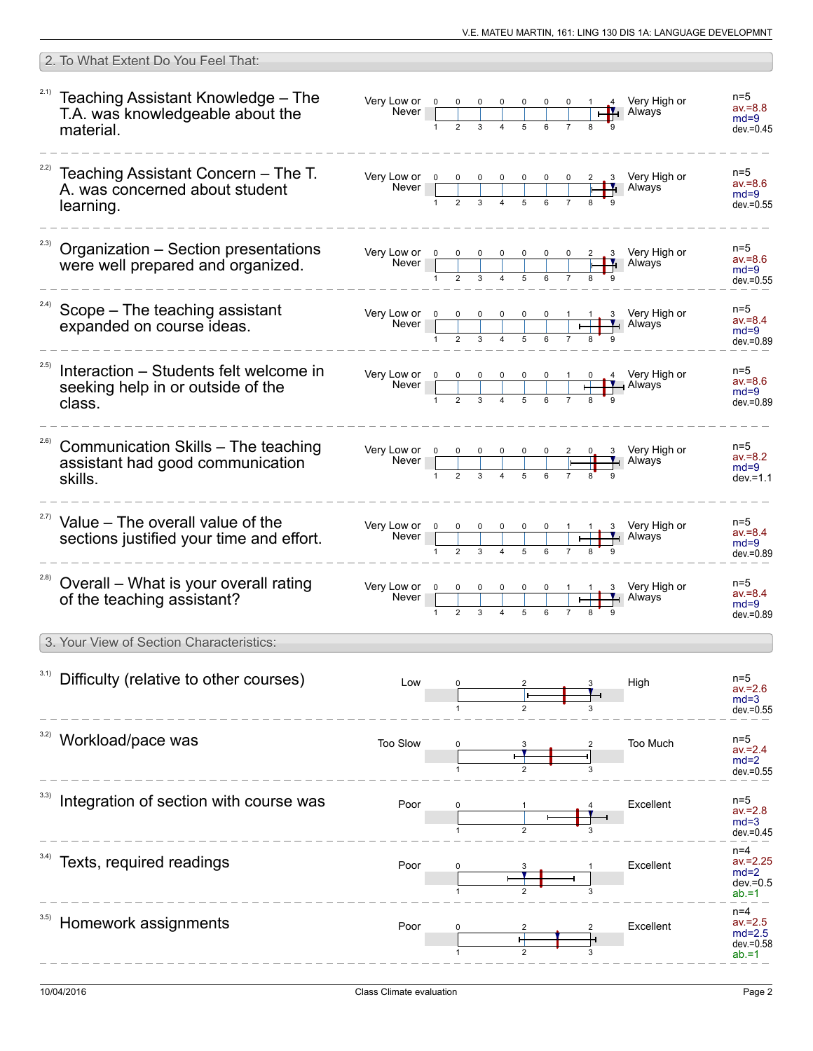|       | 2. To What Extent Do You Feel That:                                                                |                                                                                              |   |  |  |  |                                                                 |                                                           |
|-------|----------------------------------------------------------------------------------------------------|----------------------------------------------------------------------------------------------|---|--|--|--|-----------------------------------------------------------------|-----------------------------------------------------------|
| 2.1)  | Teaching Assistant Knowledge - The<br>T.A. was knowledgeable about the<br>material.                | Very Low or 0<br>Never                                                                       |   |  |  |  | 4 Very High or<br>$H$ Always                                    | n=5<br>$av = 8.8$<br>$md=9$<br>$dev = 0.45$               |
| 2.2)  | Teaching Assistant Concern - The T.<br>A. was concerned about student<br>learning.                 | Very Low or $0$<br>Never                                                                     |   |  |  |  | Very High or<br>Always                                          | $n=5$<br>$av = 8.6$<br>$md=9$<br>$dev = 0.55$             |
| 2.3)  | Organization - Section presentations<br>were well prepared and organized.                          | Very Low or 0<br>Never [                                                                     |   |  |  |  | 3 Very High or<br>$\frac{1}{2}$ Always                          | n=5<br>$av = 8.6$<br>$md=9$<br>$dev = 0.55$               |
|       | Scope - The teaching assistant<br>expanded on course ideas.                                        | Very Low or $\begin{array}{ccccccccc}\n0 & 0 & 0 & 0 & 0 & 0 & 1 & 1 \\ \hline\n\end{array}$ |   |  |  |  | 3 Very High or<br>$\frac{1}{\sqrt{2}}$ Always                   | n=5<br>$av = 8.4$<br>$md=9$<br>$dev = 0.89$               |
| 2.5)  | Interaction – Students felt welcome in<br>seeking help in or outside of the<br>class.              | Very Low or $\overline{\circ}$<br>Never                                                      |   |  |  |  | 0 0 0 0 0 1 0 4 Very High or<br>$\overline{\phantom{a}}$ Always | n=5<br>$av = 8.6$<br>$md=9$<br>$dev = 0.89$               |
|       | <sup>2.6)</sup> Communication Skills - The teaching<br>assistant had good communication<br>skills. | Very Low or $0$<br>Never <sub>1</sub>                                                        |   |  |  |  | 3 Very High or<br>$\blacktriangle$ Always                       | n=5<br>$av = 8.2$<br>$md=9$<br>$dev = 1.1$                |
|       | <sup>2.7)</sup> Value – The overall value of the<br>sections justified your time and effort.       | Very Low or 0<br>Never                                                                       |   |  |  |  | 3 Very High or<br>$\overline{1}$ Always                         | n=5<br>$av = 8.4$<br>$md=9$<br>$dev = 0.89$               |
| (2.8) | Overall - What is your overall rating<br>of the teaching assistant?                                | Very Low or 0<br>Never                                                                       | 1 |  |  |  | 3 Very High or<br>$\frac{1}{\sqrt{2}}$ Always                   | n=5<br>$av = 8.4$<br>$md=9$<br>$dev = 0.89$               |
|       | 3. Your View of Section Characteristics:                                                           |                                                                                              |   |  |  |  |                                                                 |                                                           |
|       | Difficulty (relative to other courses)                                                             | Low                                                                                          |   |  |  |  | High                                                            | n=5<br>$av = 2.6$<br>$md=3$<br>dev.=0.55                  |
|       | Workload/pace was                                                                                  | <b>Too Slow</b>                                                                              |   |  |  |  | Too Much                                                        | $n=5$<br>$av = 2.4$<br>$md=2$<br>$dev = 0.55$             |
|       | Integration of section with course was                                                             | Poor                                                                                         |   |  |  |  | Excellent                                                       | $n=5$<br>$av = 2.8$<br>$md=3$<br>$dev = 0.45$             |
|       | Texts, required readings                                                                           | Poor                                                                                         |   |  |  |  | Excellent                                                       | $n=4$<br>$av = 2.25$<br>$md=2$<br>$dev = 0.5$<br>$ab = 1$ |
|       | Homework assignments                                                                               | Poor                                                                                         |   |  |  |  | Excellent                                                       | $n=4$<br>$av = 2.5$<br>md=2.5<br>dev.=0.58<br>$ab = 1$    |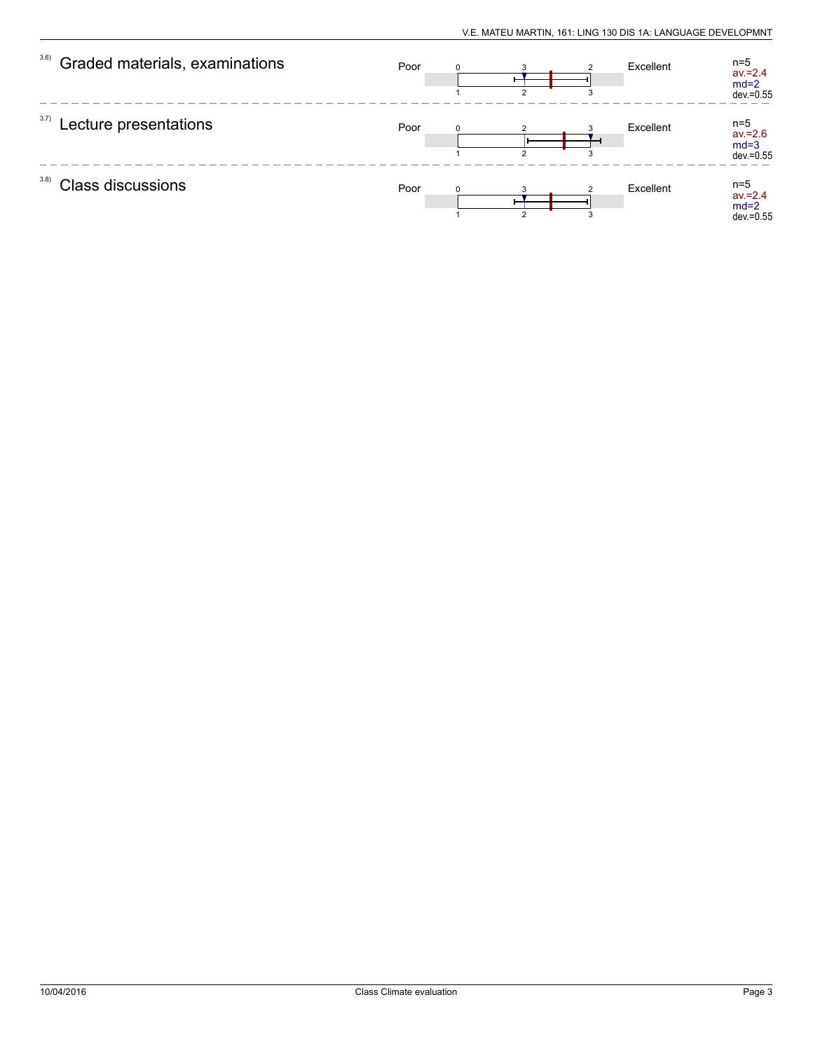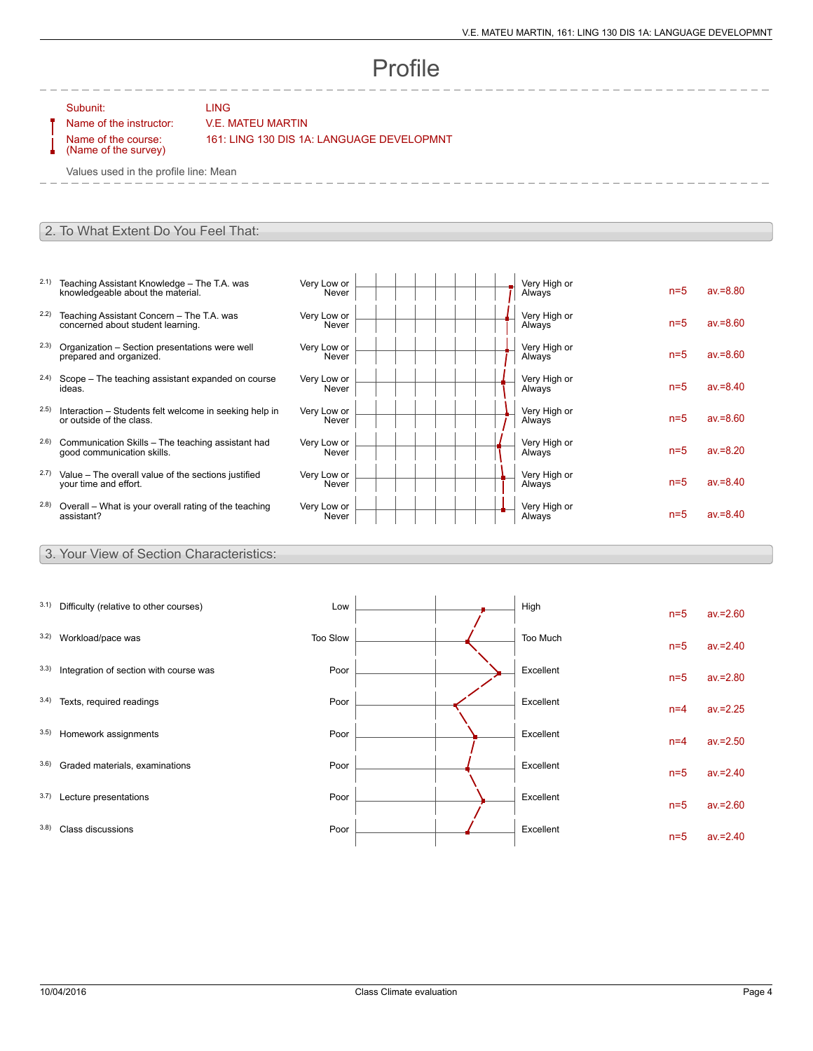## Profile

Subunit: LING

## Name of the instructor: V.E. MATEU MARTIN

Name of the course: (Name of the survey) 161: LING 130 DIS 1A: LANGUAGE DEVELOPMNT

Values used in the profile line: Mean

## 2. To What Extent Do You Feel That:

- 2.1) Teaching Assistant Knowledge The T.A. was knowledgeable about the material.
- 2.2) Teaching Assistant Concern The T.A. was concerned about student learning.
- 2.3) Organization Section presentations were well prepared and organized.
- 2.4) Scope The teaching assistant expanded on course ideas.
- 2.5) Interaction Students felt welcome in seeking help in or outside of the class.
- 2.6) Communication Skills The teaching assistant had good communication skills.
- 2.7) Value The overall value of the sections justified your time and effort.
- 2.8) Overall What is your overall rating of the teaching assistant?

3. Your View of Section Characteristics:

| Very Low or<br>Never | Very High or<br>Always | $n=5$ | $av = 8.80$ |
|----------------------|------------------------|-------|-------------|
| Very Low or<br>Never | Very High or<br>Always | $n=5$ | $av = 8.60$ |
| Very Low or<br>Never | Very High or<br>Always | $n=5$ | $av = 8.60$ |
| Very Low or<br>Never | Very High or<br>Always | $n=5$ | $av = 8.40$ |
| Very Low or<br>Never | Very High or<br>Always | $n=5$ | $av = 8.60$ |
| Very Low or<br>Never | Very High or<br>Always | $n=5$ | $av = 8.20$ |
| Very Low or<br>Never | Very High or<br>Always | $n=5$ | $av = 8.40$ |
| Very Low or<br>Never | Very High or<br>Always | $n=5$ | $av = 8.40$ |
|                      |                        |       |             |

| 3.1) | Difficulty (relative to other courses) | Low      |  | High      | $n=5$ | $av = 2.60$ |
|------|----------------------------------------|----------|--|-----------|-------|-------------|
| 3.2) | Workload/pace was                      | Too Slow |  | Too Much  | $n=5$ | $av = 2.40$ |
| 3.3) | Integration of section with course was | Poor     |  | Excellent | $n=5$ | $av = 2.80$ |
| 3.4) | Texts, required readings               | Poor     |  | Excellent | $n=4$ | $av = 2.25$ |
| 3.5) | Homework assignments                   | Poor     |  | Excellent | $n=4$ | $av = 2.50$ |
| 3.6) | Graded materials, examinations         | Poor     |  | Excellent | $n=5$ | $av = 2.40$ |
| 3.7) | Lecture presentations                  | Poor     |  | Excellent | $n=5$ | $av = 2.60$ |
| 3.8) | Class discussions                      | Poor     |  | Excellent | $n=5$ | $av = 2.40$ |